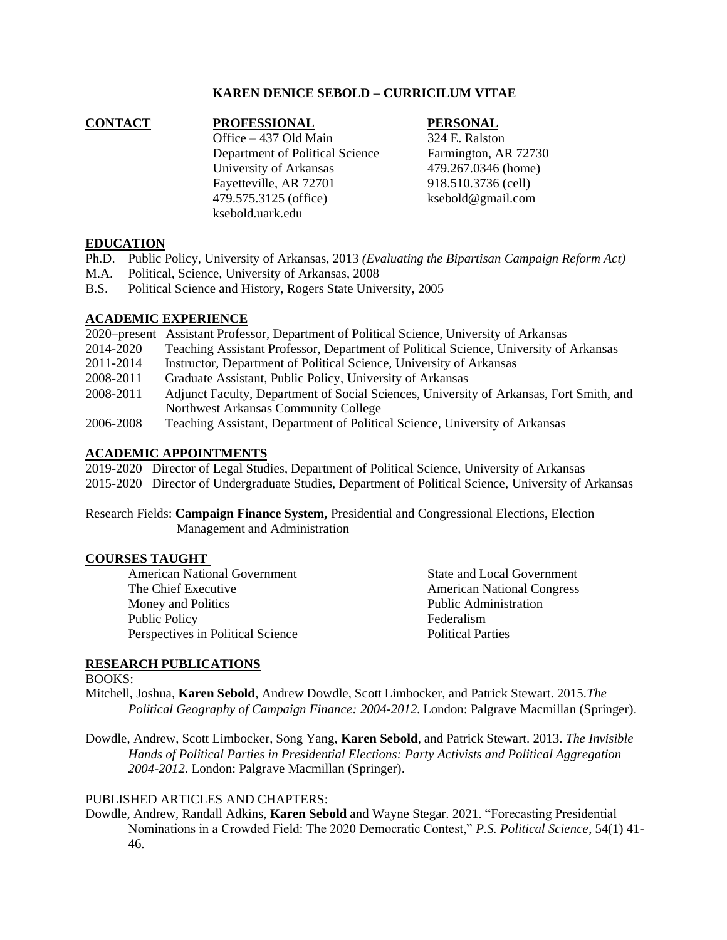# **KAREN DENICE SEBOLD – CURRICILUM VITAE**

# **CONTACT PROFESSIONAL PERSONAL** Office – 437 Old Main 324 E. Ralston Department of Political Science Farmington, AR 72730 University of Arkansas 479.267.0346 (home) Fayetteville, AR 72701 918.510.3736 (cell) 479.575.3125 (office) ksebold@gmail.com ksebold.uark.edu

# **EDUCATION**

- Ph.D. Public Policy, University of Arkansas, 2013 *(Evaluating the Bipartisan Campaign Reform Act)*
- M.A. Political, Science, University of Arkansas, 2008
- B.S. Political Science and History, Rogers State University, 2005

# **ACADEMIC EXPERIENCE**

|           | 2020–present Assistant Professor, Department of Political Science, University of Arkansas |
|-----------|-------------------------------------------------------------------------------------------|
| 2014-2020 | Teaching Assistant Professor, Department of Political Science, University of Arkansas     |
| 2011-2014 | Instructor, Department of Political Science, University of Arkansas                       |
| 2008-2011 | Graduate Assistant, Public Policy, University of Arkansas                                 |
| 2008-2011 | Adjunct Faculty, Department of Social Sciences, University of Arkansas, Fort Smith, and   |
|           | Northwest Arkansas Community College                                                      |
| 2006-2008 | Teaching Assistant, Department of Political Science, University of Arkansas               |

# **ACADEMIC APPOINTMENTS**

2019-2020 Director of Legal Studies, Department of Political Science, University of Arkansas 2015-2020 Director of Undergraduate Studies, Department of Political Science, University of Arkansas

Research Fields: **Campaign Finance System,** Presidential and Congressional Elections, Election Management and Administration

#### **COURSES TAUGHT**

American National Government State and Local Government The Chief Executive **American** National Congress Money and Politics **Public Administration** Public Policy Federalism Perspectives in Political Science Political Parties

#### **RESEARCH PUBLICATIONS**

BOOKS:

Mitchell, Joshua, **Karen Sebold**, Andrew Dowdle, Scott Limbocker, and Patrick Stewart. 2015*.The Political Geography of Campaign Finance: 2004-2012.* London: Palgrave Macmillan (Springer).

Dowdle, Andrew, Scott Limbocker, Song Yang, **Karen Sebold**, and Patrick Stewart. 2013. *The Invisible Hands of Political Parties in Presidential Elections: Party Activists and Political Aggregation 2004-2012*. London: Palgrave Macmillan (Springer).

# PUBLISHED ARTICLES AND CHAPTERS:

Dowdle, Andrew, Randall Adkins, **Karen Sebold** and Wayne Stegar. 2021. "Forecasting Presidential Nominations in a Crowded Field: The 2020 Democratic Contest," *P.S. Political Science*, 54(1) 41- 46.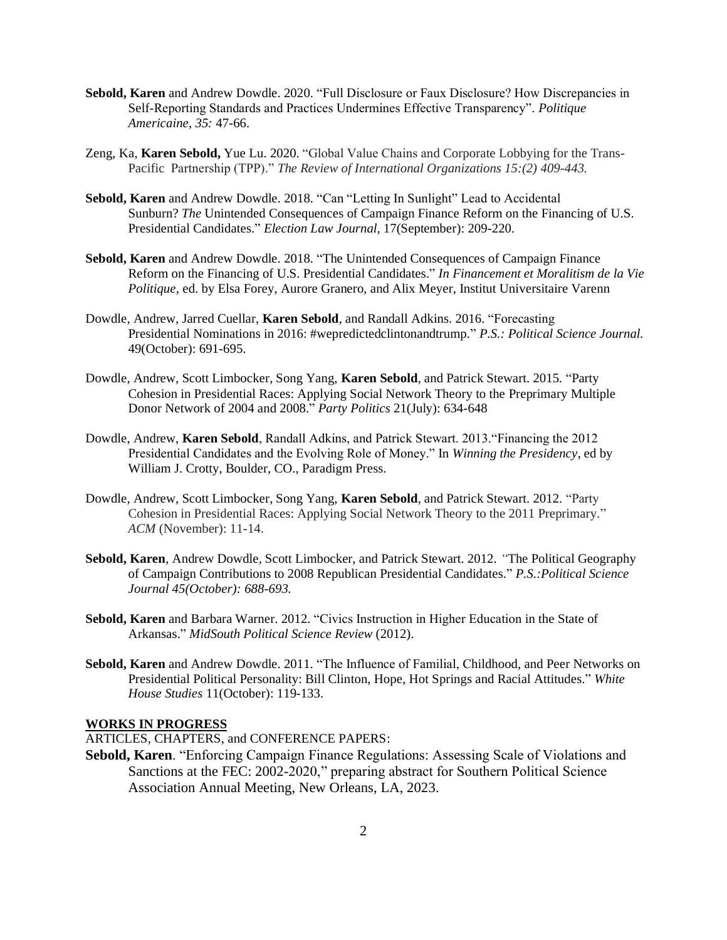- **Sebold, Karen** and Andrew Dowdle. 2020. "Full Disclosure or Faux Disclosure? How Discrepancies in Self-Reporting Standards and Practices Undermines Effective Transparency". *Politique Americaine, 35:* 47-66.
- Zeng, Ka, **Karen Sebold,** Yue Lu. 2020. "Global Value Chains and Corporate Lobbying for the Trans-Pacific Partnership (TPP)." *The Review of International Organizations 15:(2) 409-443.*
- **Sebold, Karen** and Andrew Dowdle. 2018. "Can "Letting In Sunlight" Lead to Accidental Sunburn? *The* Unintended Consequences of Campaign Finance Reform on the Financing of U.S. Presidential Candidates." *Election Law Journal,* 17(September): 209-220.
- **Sebold, Karen** and Andrew Dowdle. 2018. "The Unintended Consequences of Campaign Finance Reform on the Financing of U.S. Presidential Candidates." *In Financement et Moralitism de la Vie Politique,* ed. by Elsa Forey, Aurore Granero, and Alix Meyer, Institut Universitaire Varenn
- Dowdle, Andrew, Jarred Cuellar, **Karen Sebold**, and Randall Adkins. 2016. "Forecasting Presidential Nominations in 2016: #wepredictedclintonandtrump." *P.S.: Political Science Journal.* 49(October): 691-695.
- Dowdle, Andrew, Scott Limbocker, Song Yang, **Karen Sebold**, and Patrick Stewart. 2015*.* "Party Cohesion in Presidential Races: Applying Social Network Theory to the Preprimary Multiple Donor Network of 2004 and 2008." *Party Politics* 21(July): 634-648
- Dowdle, Andrew, **Karen Sebold**, Randall Adkins, and Patrick Stewart. 2013."Financing the 2012 Presidential Candidates and the Evolving Role of Money." In *Winning the Presidency*, ed by William J. Crotty, Boulder, CO., Paradigm Press.
- Dowdle, Andrew, Scott Limbocker, Song Yang, **Karen Sebold**, and Patrick Stewart. 2012. "Party Cohesion in Presidential Races: Applying Social Network Theory to the 2011 Preprimary." *ACM* (November): 11-14.
- **Sebold, Karen**, Andrew Dowdle, Scott Limbocker, and Patrick Stewart. 2012. *"*The Political Geography of Campaign Contributions to 2008 Republican Presidential Candidates." *P.S.:Political Science Journal 45(October): 688-693.*
- **Sebold, Karen** and Barbara Warner. 2012. "Civics Instruction in Higher Education in the State of Arkansas." *MidSouth Political Science Review* (2012).
- **Sebold, Karen** and Andrew Dowdle. 2011. "The Influence of Familial, Childhood, and Peer Networks on Presidential Political Personality: Bill Clinton, Hope, Hot Springs and Racial Attitudes." *White House Studies* 11(October): 119-133.

# **WORKS IN PROGRESS**

ARTICLES, CHAPTERS, and CONFERENCE PAPERS:

**Sebold, Karen**. "Enforcing Campaign Finance Regulations: Assessing Scale of Violations and Sanctions at the FEC: 2002-2020," preparing abstract for Southern Political Science Association Annual Meeting, New Orleans, LA, 2023.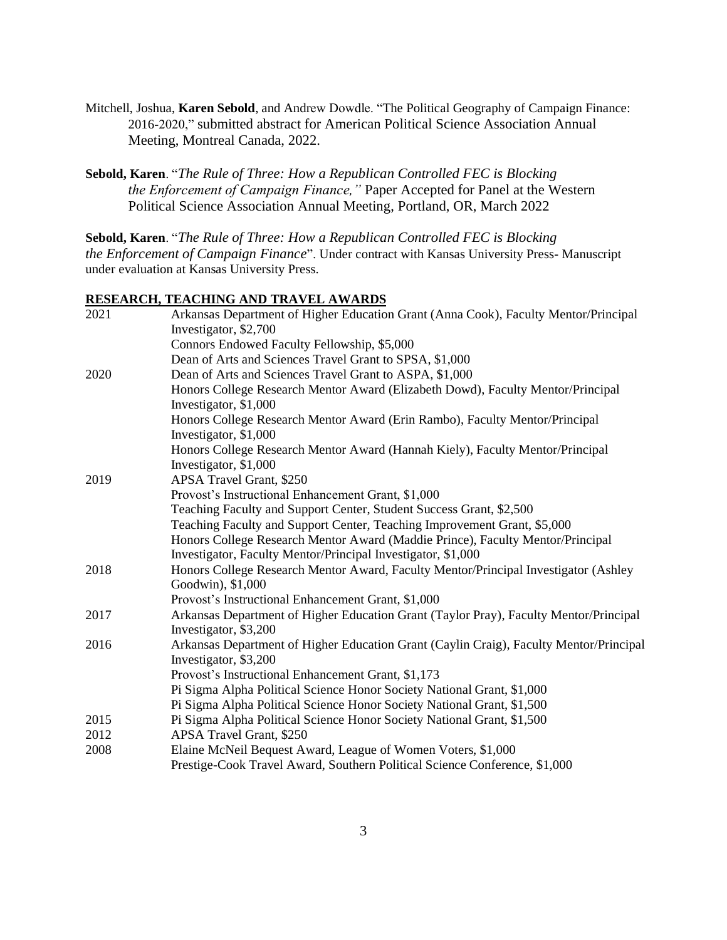- Mitchell, Joshua, **Karen Sebold**, and Andrew Dowdle. "The Political Geography of Campaign Finance: 2016-2020," submitted abstract for American Political Science Association Annual Meeting, Montreal Canada, 2022.
- **Sebold, Karen**. "*The Rule of Three: How a Republican Controlled FEC is Blocking the Enforcement of Campaign Finance,"* Paper Accepted for Panel at the Western Political Science Association Annual Meeting, Portland, OR, March 2022

**Sebold, Karen**. "*The Rule of Three: How a Republican Controlled FEC is Blocking the Enforcement of Campaign Finance*". Under contract with Kansas University Press- Manuscript under evaluation at Kansas University Press.

# **RESEARCH, TEACHING AND TRAVEL AWARDS**

| 2021 | Arkansas Department of Higher Education Grant (Anna Cook), Faculty Mentor/Principal    |
|------|----------------------------------------------------------------------------------------|
|      | Investigator, \$2,700                                                                  |
|      | Connors Endowed Faculty Fellowship, \$5,000                                            |
|      | Dean of Arts and Sciences Travel Grant to SPSA, \$1,000                                |
| 2020 | Dean of Arts and Sciences Travel Grant to ASPA, \$1,000                                |
|      | Honors College Research Mentor Award (Elizabeth Dowd), Faculty Mentor/Principal        |
|      | Investigator, \$1,000                                                                  |
|      | Honors College Research Mentor Award (Erin Rambo), Faculty Mentor/Principal            |
|      | Investigator, \$1,000                                                                  |
|      | Honors College Research Mentor Award (Hannah Kiely), Faculty Mentor/Principal          |
|      | Investigator, \$1,000                                                                  |
| 2019 | APSA Travel Grant, \$250                                                               |
|      | Provost's Instructional Enhancement Grant, \$1,000                                     |
|      | Teaching Faculty and Support Center, Student Success Grant, \$2,500                    |
|      | Teaching Faculty and Support Center, Teaching Improvement Grant, \$5,000               |
|      | Honors College Research Mentor Award (Maddie Prince), Faculty Mentor/Principal         |
|      | Investigator, Faculty Mentor/Principal Investigator, \$1,000                           |
| 2018 | Honors College Research Mentor Award, Faculty Mentor/Principal Investigator (Ashley    |
|      | Goodwin), \$1,000                                                                      |
|      | Provost's Instructional Enhancement Grant, \$1,000                                     |
| 2017 | Arkansas Department of Higher Education Grant (Taylor Pray), Faculty Mentor/Principal  |
|      | Investigator, \$3,200                                                                  |
| 2016 | Arkansas Department of Higher Education Grant (Caylin Craig), Faculty Mentor/Principal |
|      | Investigator, \$3,200                                                                  |
|      | Provost's Instructional Enhancement Grant, \$1,173                                     |
|      | Pi Sigma Alpha Political Science Honor Society National Grant, \$1,000                 |
|      | Pi Sigma Alpha Political Science Honor Society National Grant, \$1,500                 |
| 2015 | Pi Sigma Alpha Political Science Honor Society National Grant, \$1,500                 |
| 2012 | APSA Travel Grant, \$250                                                               |
| 2008 | Elaine McNeil Bequest Award, League of Women Voters, \$1,000                           |
|      | Prestige-Cook Travel Award, Southern Political Science Conference, \$1,000             |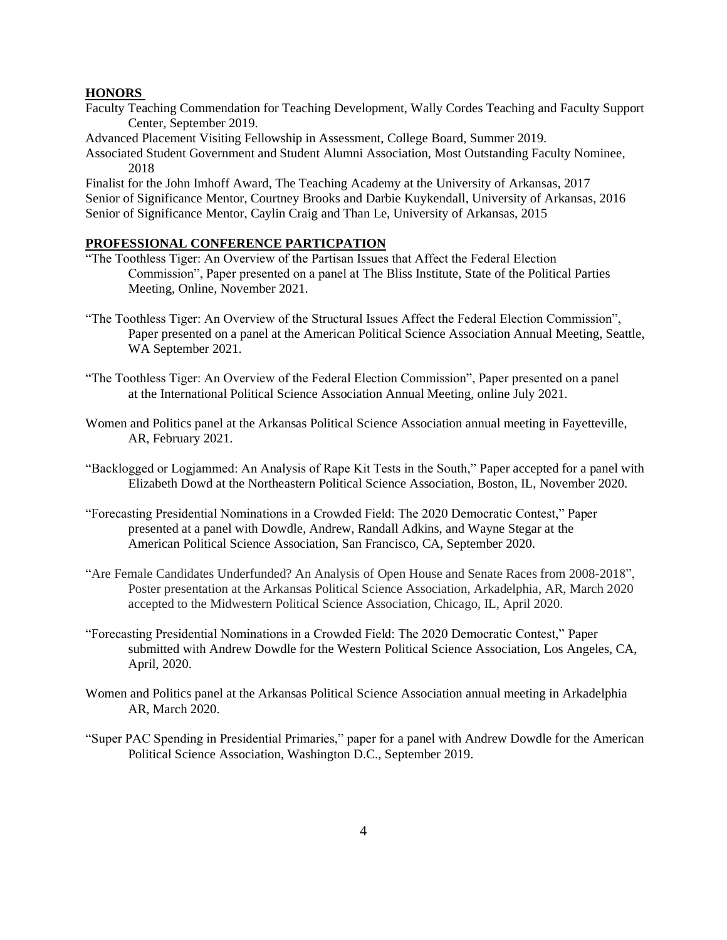#### **HONORS**

- Faculty Teaching Commendation for Teaching Development, Wally Cordes Teaching and Faculty Support Center, September 2019.
- Advanced Placement Visiting Fellowship in Assessment, College Board, Summer 2019.
- Associated Student Government and Student Alumni Association, Most Outstanding Faculty Nominee, 2018

Finalist for the John Imhoff Award, The Teaching Academy at the University of Arkansas, 2017 Senior of Significance Mentor, Courtney Brooks and Darbie Kuykendall, University of Arkansas, 2016 Senior of Significance Mentor, Caylin Craig and Than Le, University of Arkansas, 2015

### **PROFESSIONAL CONFERENCE PARTICPATION**

- "The Toothless Tiger: An Overview of the Partisan Issues that Affect the Federal Election Commission", Paper presented on a panel at The Bliss Institute, State of the Political Parties Meeting, Online, November 2021.
- "The Toothless Tiger: An Overview of the Structural Issues Affect the Federal Election Commission", Paper presented on a panel at the American Political Science Association Annual Meeting, Seattle, WA September 2021.
- "The Toothless Tiger: An Overview of the Federal Election Commission", Paper presented on a panel at the International Political Science Association Annual Meeting, online July 2021.
- Women and Politics panel at the Arkansas Political Science Association annual meeting in Fayetteville, AR, February 2021.
- "Backlogged or Logjammed: An Analysis of Rape Kit Tests in the South," Paper accepted for a panel with Elizabeth Dowd at the Northeastern Political Science Association, Boston, IL, November 2020.
- "Forecasting Presidential Nominations in a Crowded Field: The 2020 Democratic Contest," Paper presented at a panel with Dowdle, Andrew, Randall Adkins, and Wayne Stegar at the American Political Science Association, San Francisco, CA, September 2020.
- "Are Female Candidates Underfunded? An Analysis of Open House and Senate Races from 2008-2018", Poster presentation at the Arkansas Political Science Association, Arkadelphia, AR, March 2020 accepted to the Midwestern Political Science Association, Chicago, IL, April 2020.
- "Forecasting Presidential Nominations in a Crowded Field: The 2020 Democratic Contest," Paper submitted with Andrew Dowdle for the Western Political Science Association, Los Angeles, CA, April, 2020.
- Women and Politics panel at the Arkansas Political Science Association annual meeting in Arkadelphia AR, March 2020.
- "Super PAC Spending in Presidential Primaries," paper for a panel with Andrew Dowdle for the American Political Science Association, Washington D.C., September 2019.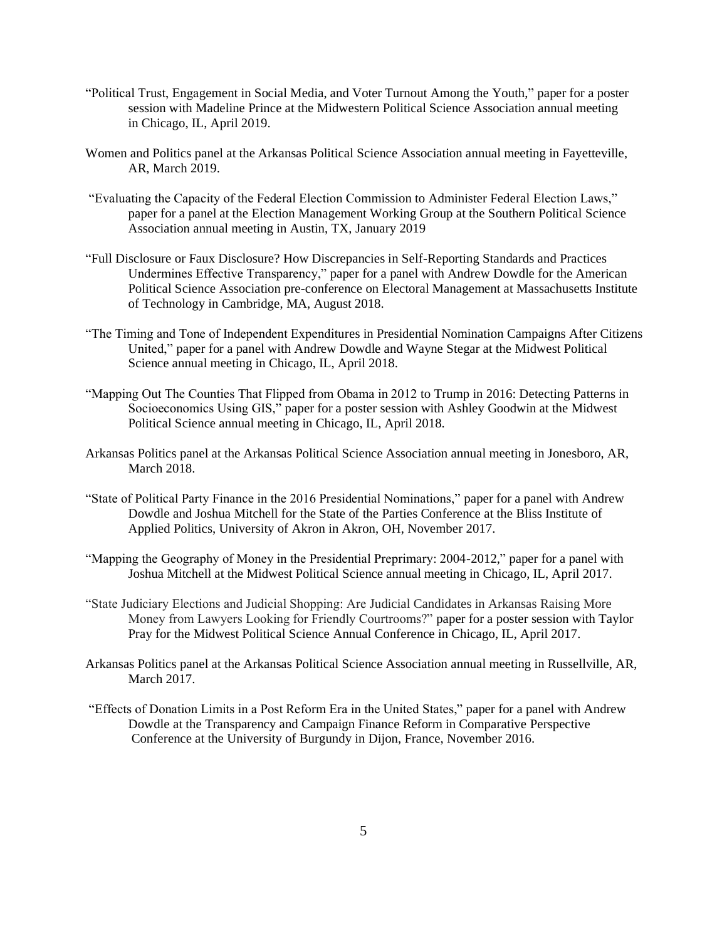- "Political Trust, Engagement in Social Media, and Voter Turnout Among the Youth," paper for a poster session with Madeline Prince at the Midwestern Political Science Association annual meeting in Chicago, IL, April 2019.
- Women and Politics panel at the Arkansas Political Science Association annual meeting in Fayetteville, AR, March 2019.
- "Evaluating the Capacity of the Federal Election Commission to Administer Federal Election Laws," paper for a panel at the Election Management Working Group at the Southern Political Science Association annual meeting in Austin, TX, January 2019
- "Full Disclosure or Faux Disclosure? How Discrepancies in Self-Reporting Standards and Practices Undermines Effective Transparency," paper for a panel with Andrew Dowdle for the American Political Science Association pre-conference on Electoral Management at Massachusetts Institute of Technology in Cambridge, MA, August 2018.
- "The Timing and Tone of Independent Expenditures in Presidential Nomination Campaigns After Citizens United," paper for a panel with Andrew Dowdle and Wayne Stegar at the Midwest Political Science annual meeting in Chicago, IL, April 2018.
- "Mapping Out The Counties That Flipped from Obama in 2012 to Trump in 2016: Detecting Patterns in Socioeconomics Using GIS," paper for a poster session with Ashley Goodwin at the Midwest Political Science annual meeting in Chicago, IL, April 2018.
- Arkansas Politics panel at the Arkansas Political Science Association annual meeting in Jonesboro, AR, March 2018.
- "State of Political Party Finance in the 2016 Presidential Nominations," paper for a panel with Andrew Dowdle and Joshua Mitchell for the State of the Parties Conference at the Bliss Institute of Applied Politics, University of Akron in Akron, OH, November 2017.
- "Mapping the Geography of Money in the Presidential Preprimary: 2004-2012," paper for a panel with Joshua Mitchell at the Midwest Political Science annual meeting in Chicago, IL, April 2017.
- "State Judiciary Elections and Judicial Shopping: Are Judicial Candidates in Arkansas Raising More Money from Lawyers Looking for Friendly Courtrooms?" paper for a poster session with Taylor Pray for the Midwest Political Science Annual Conference in Chicago, IL, April 2017.
- Arkansas Politics panel at the Arkansas Political Science Association annual meeting in Russellville, AR, March 2017.
- "Effects of Donation Limits in a Post Reform Era in the United States," paper for a panel with Andrew Dowdle at the Transparency and Campaign Finance Reform in Comparative Perspective Conference at the University of Burgundy in Dijon, France, November 2016.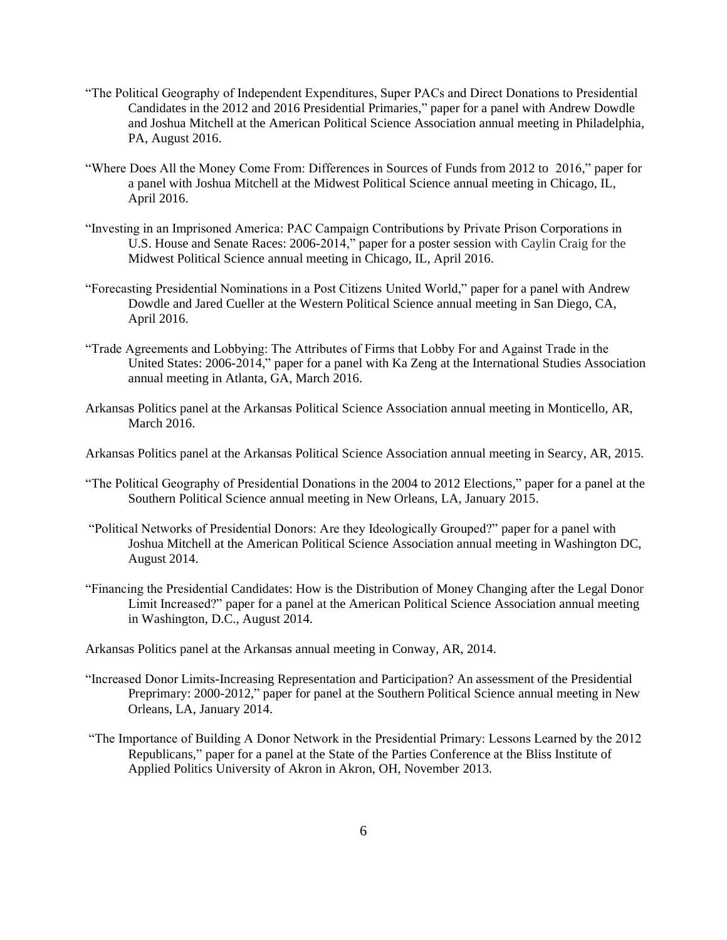- "The Political Geography of Independent Expenditures, Super PACs and Direct Donations to Presidential Candidates in the 2012 and 2016 Presidential Primaries," paper for a panel with Andrew Dowdle and Joshua Mitchell at the American Political Science Association annual meeting in Philadelphia, PA, August 2016.
- "Where Does All the Money Come From: Differences in Sources of Funds from 2012 to 2016," paper for a panel with Joshua Mitchell at the Midwest Political Science annual meeting in Chicago, IL, April 2016.
- "Investing in an Imprisoned America: PAC Campaign Contributions by Private Prison Corporations in U.S. House and Senate Races: 2006-2014," paper for a poster session with Caylin Craig for the Midwest Political Science annual meeting in Chicago, IL, April 2016.
- "Forecasting Presidential Nominations in a Post Citizens United World," paper for a panel with Andrew Dowdle and Jared Cueller at the Western Political Science annual meeting in San Diego, CA, April 2016.
- "Trade Agreements and Lobbying: The Attributes of Firms that Lobby For and Against Trade in the United States: 2006-2014," paper for a panel with Ka Zeng at the International Studies Association annual meeting in Atlanta, GA, March 2016.
- Arkansas Politics panel at the Arkansas Political Science Association annual meeting in Monticello, AR, March 2016.
- Arkansas Politics panel at the Arkansas Political Science Association annual meeting in Searcy, AR, 2015.
- "The Political Geography of Presidential Donations in the 2004 to 2012 Elections," paper for a panel at the Southern Political Science annual meeting in New Orleans, LA, January 2015.
- "Political Networks of Presidential Donors: Are they Ideologically Grouped?" paper for a panel with Joshua Mitchell at the American Political Science Association annual meeting in Washington DC, August 2014.
- "Financing the Presidential Candidates: How is the Distribution of Money Changing after the Legal Donor Limit Increased?" paper for a panel at the American Political Science Association annual meeting in Washington, D.C., August 2014.

Arkansas Politics panel at the Arkansas annual meeting in Conway, AR, 2014.

- "Increased Donor Limits-Increasing Representation and Participation? An assessment of the Presidential Preprimary: 2000-2012," paper for panel at the Southern Political Science annual meeting in New Orleans, LA, January 2014.
- "The Importance of Building A Donor Network in the Presidential Primary: Lessons Learned by the 2012 Republicans," paper for a panel at the State of the Parties Conference at the Bliss Institute of Applied Politics University of Akron in Akron, OH, November 2013.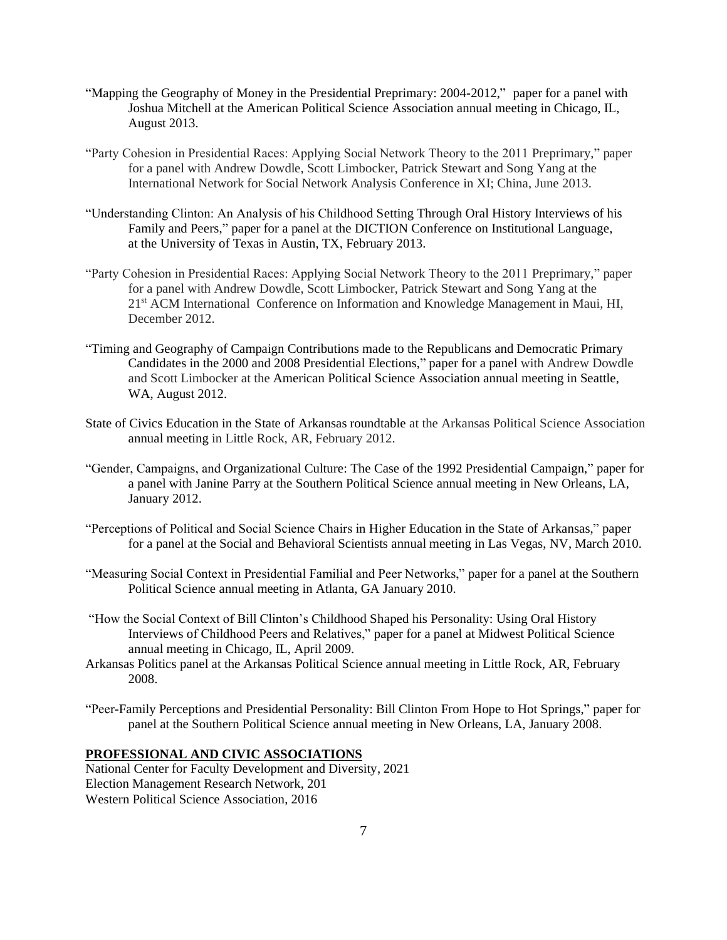- "Mapping the Geography of Money in the Presidential Preprimary: 2004-2012," paper for a panel with Joshua Mitchell at the American Political Science Association annual meeting in Chicago, IL, August 2013.
- "Party Cohesion in Presidential Races: Applying Social Network Theory to the 2011 Preprimary," paper for a panel with Andrew Dowdle, Scott Limbocker, Patrick Stewart and Song Yang at the International Network for Social Network Analysis Conference in XI; China, June 2013.
- "Understanding Clinton: An Analysis of his Childhood Setting Through Oral History Interviews of his Family and Peers," paper for a panel at the DICTION Conference on Institutional Language, at the University of Texas in Austin, TX, February 2013.
- "Party Cohesion in Presidential Races: Applying Social Network Theory to the 2011 Preprimary," paper for a panel with Andrew Dowdle, Scott Limbocker, Patrick Stewart and Song Yang at the 21<sup>st</sup> ACM International Conference on Information and Knowledge Management in Maui, HI, December 2012.
- "Timing and Geography of Campaign Contributions made to the Republicans and Democratic Primary Candidates in the 2000 and 2008 Presidential Elections," paper for a panel with Andrew Dowdle and Scott Limbocker at the American Political Science Association annual meeting in Seattle, WA, August 2012.
- State of Civics Education in the State of Arkansas roundtable at the Arkansas Political Science Association annual meeting in Little Rock, AR, February 2012.
- "Gender, Campaigns, and Organizational Culture: The Case of the 1992 Presidential Campaign," paper for a panel with Janine Parry at the Southern Political Science annual meeting in New Orleans, LA, January 2012.
- "Perceptions of Political and Social Science Chairs in Higher Education in the State of Arkansas," paper for a panel at the Social and Behavioral Scientists annual meeting in Las Vegas, NV, March 2010.
- "Measuring Social Context in Presidential Familial and Peer Networks," paper for a panel at the Southern Political Science annual meeting in Atlanta, GA January 2010.
- "How the Social Context of Bill Clinton's Childhood Shaped his Personality: Using Oral History Interviews of Childhood Peers and Relatives," paper for a panel at Midwest Political Science annual meeting in Chicago, IL, April 2009.
- Arkansas Politics panel at the Arkansas Political Science annual meeting in Little Rock, AR, February 2008.
- "Peer-Family Perceptions and Presidential Personality: Bill Clinton From Hope to Hot Springs," paper for panel at the Southern Political Science annual meeting in New Orleans, LA, January 2008.

#### **PROFESSIONAL AND CIVIC ASSOCIATIONS**

National Center for Faculty Development and Diversity, 2021 Election Management Research Network, 201 Western Political Science Association, 2016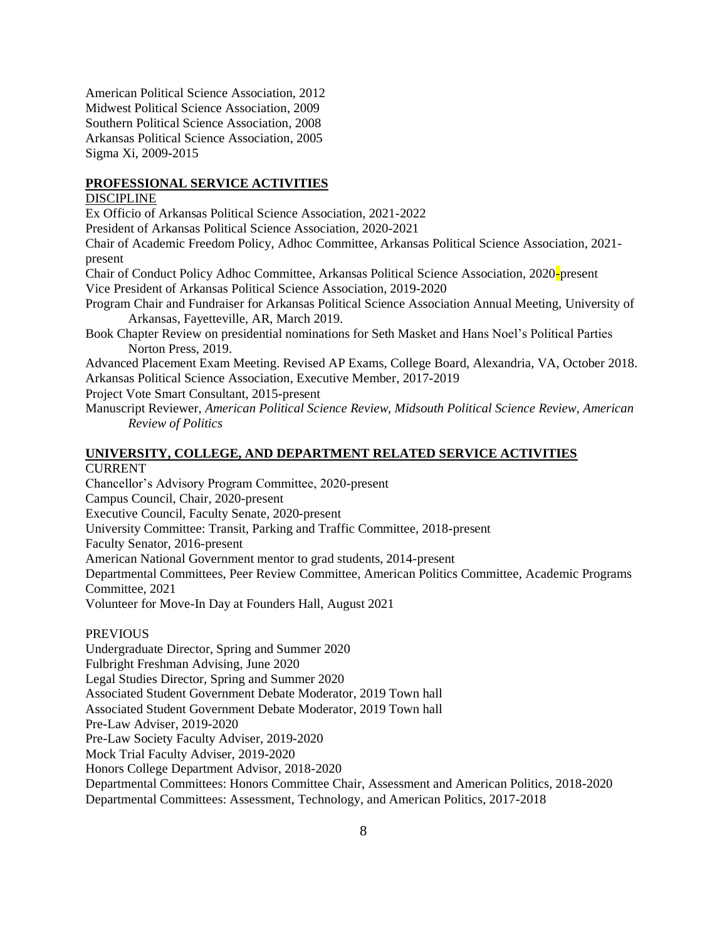American Political Science Association, 2012 Midwest Political Science Association, 2009 Southern Political Science Association, 2008 Arkansas Political Science Association, 2005 Sigma Xi, 2009-2015

#### **PROFESSIONAL SERVICE ACTIVITIES**

# DISCIPLINE

Ex Officio of Arkansas Political Science Association, 2021-2022

President of Arkansas Political Science Association, 2020-2021

Chair of Academic Freedom Policy, Adhoc Committee, Arkansas Political Science Association, 2021 present

Chair of Conduct Policy Adhoc Committee, Arkansas Political Science Association, 2020-present Vice President of Arkansas Political Science Association, 2019-2020

Program Chair and Fundraiser for Arkansas Political Science Association Annual Meeting, University of Arkansas, Fayetteville, AR, March 2019.

Book Chapter Review on presidential nominations for Seth Masket and Hans Noel's Political Parties Norton Press, 2019.

Advanced Placement Exam Meeting. Revised AP Exams, College Board, Alexandria, VA, October 2018. Arkansas Political Science Association*,* Executive Member, 2017-2019

Project Vote Smart Consultant, 2015-present

Manuscript Reviewer, *American Political Science Review, Midsouth Political Science Review, American Review of Politics* 

#### **UNIVERSITY, COLLEGE, AND DEPARTMENT RELATED SERVICE ACTIVITIES**

#### CURRENT

Chancellor's Advisory Program Committee, 2020-present

Campus Council, Chair, 2020-present

Executive Council, Faculty Senate, 2020-present

University Committee: Transit, Parking and Traffic Committee, 2018-present

Faculty Senator, 2016-present

American National Government mentor to grad students, 2014-present

Departmental Committees, Peer Review Committee, American Politics Committee, Academic Programs Committee, 2021

Volunteer for Move-In Day at Founders Hall, August 2021

# PREVIOUS

Undergraduate Director, Spring and Summer 2020 Fulbright Freshman Advising, June 2020 Legal Studies Director, Spring and Summer 2020 Associated Student Government Debate Moderator, 2019 Town hall Associated Student Government Debate Moderator, 2019 Town hall Pre-Law Adviser, 2019-2020 Pre-Law Society Faculty Adviser, 2019-2020 Mock Trial Faculty Adviser, 2019-2020 Honors College Department Advisor, 2018-2020 Departmental Committees: Honors Committee Chair, Assessment and American Politics, 2018-2020 Departmental Committees: Assessment, Technology, and American Politics, 2017-2018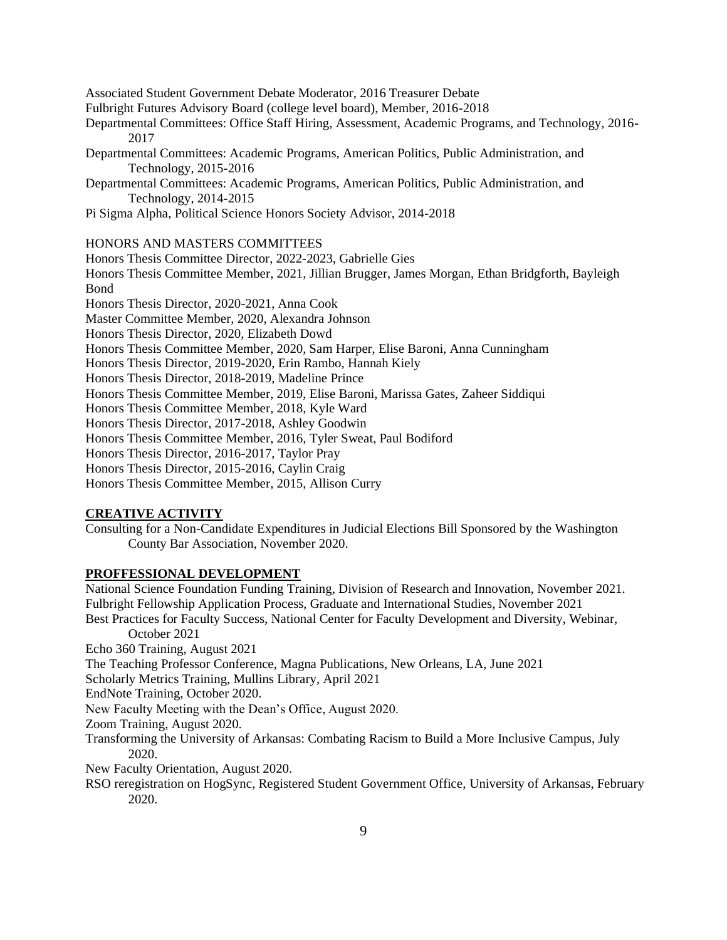Associated Student Government Debate Moderator, 2016 Treasurer Debate Fulbright Futures Advisory Board (college level board), Member, 2016-2018 Departmental Committees: Office Staff Hiring, Assessment, Academic Programs, and Technology, 2016- 2017 Departmental Committees: Academic Programs, American Politics, Public Administration, and Technology, 2015-2016 Departmental Committees: Academic Programs, American Politics, Public Administration, and Technology, 2014-2015 Pi Sigma Alpha, Political Science Honors Society Advisor, 2014-2018 HONORS AND MASTERS COMMITTEES Honors Thesis Committee Director, 2022-2023, Gabrielle Gies Honors Thesis Committee Member, 2021, Jillian Brugger, James Morgan, Ethan Bridgforth, Bayleigh Bond Honors Thesis Director, 2020-2021, Anna Cook Master Committee Member, 2020, Alexandra Johnson Honors Thesis Director, 2020, Elizabeth Dowd Honors Thesis Committee Member, 2020, Sam Harper, Elise Baroni, Anna Cunningham Honors Thesis Director, 2019-2020, Erin Rambo, Hannah Kiely Honors Thesis Director, 2018-2019, Madeline Prince Honors Thesis Committee Member, 2019, Elise Baroni, Marissa Gates, Zaheer Siddiqui Honors Thesis Committee Member, 2018, Kyle Ward Honors Thesis Director, 2017-2018, Ashley Goodwin Honors Thesis Committee Member, 2016, Tyler Sweat, Paul Bodiford Honors Thesis Director, 2016-2017, Taylor Pray Honors Thesis Director, 2015-2016, Caylin Craig Honors Thesis Committee Member, 2015, Allison Curry

# **CREATIVE ACTIVITY**

Consulting for a Non-Candidate Expenditures in Judicial Elections Bill Sponsored by the Washington County Bar Association, November 2020.

# **PROFFESSIONAL DEVELOPMENT**

National Science Foundation Funding Training, Division of Research and Innovation, November 2021. Fulbright Fellowship Application Process, Graduate and International Studies, November 2021 Best Practices for Faculty Success, National Center for Faculty Development and Diversity, Webinar, October 2021 Echo 360 Training, August 2021 The Teaching Professor Conference, Magna Publications, New Orleans, LA, June 2021 Scholarly Metrics Training, Mullins Library, April 2021 EndNote Training, October 2020. New Faculty Meeting with the Dean's Office, August 2020. Zoom Training, August 2020. Transforming the University of Arkansas: Combating Racism to Build a More Inclusive Campus, July 2020. New Faculty Orientation, August 2020. RSO reregistration on HogSync, Registered Student Government Office, University of Arkansas, February 2020.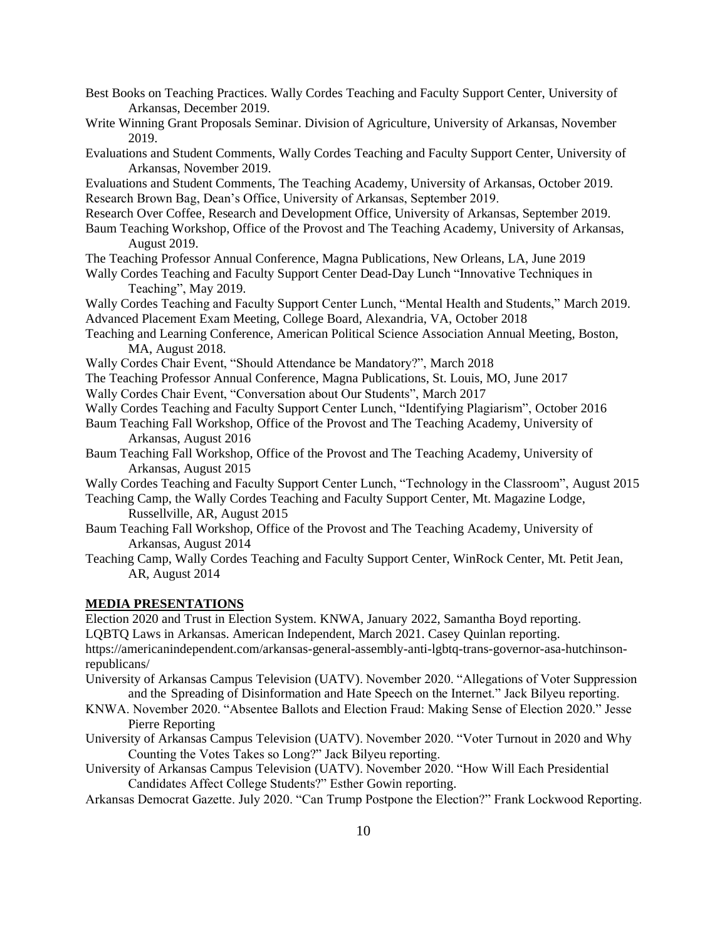Best Books on Teaching Practices. Wally Cordes Teaching and Faculty Support Center, University of Arkansas, December 2019. Write Winning Grant Proposals Seminar. Division of Agriculture, University of Arkansas, November 2019.

Evaluations and Student Comments, Wally Cordes Teaching and Faculty Support Center, University of Arkansas, November 2019.

Evaluations and Student Comments, The Teaching Academy, University of Arkansas, October 2019. Research Brown Bag, Dean's Office, University of Arkansas, September 2019.

- Research Over Coffee, Research and Development Office, University of Arkansas, September 2019.
- Baum Teaching Workshop, Office of the Provost and The Teaching Academy, University of Arkansas, August 2019.

The Teaching Professor Annual Conference, Magna Publications, New Orleans, LA, June 2019

Wally Cordes Teaching and Faculty Support Center Dead-Day Lunch "Innovative Techniques in Teaching", May 2019.

Wally Cordes Teaching and Faculty Support Center Lunch, "Mental Health and Students," March 2019. Advanced Placement Exam Meeting, College Board, Alexandria, VA, October 2018

Teaching and Learning Conference, American Political Science Association Annual Meeting, Boston, MA, August 2018.

Wally Cordes Chair Event, "Should Attendance be Mandatory?", March 2018

The Teaching Professor Annual Conference, Magna Publications, St. Louis, MO, June 2017

Wally Cordes Chair Event, "Conversation about Our Students", March 2017

Wally Cordes Teaching and Faculty Support Center Lunch, "Identifying Plagiarism", October 2016

- Baum Teaching Fall Workshop, Office of the Provost and The Teaching Academy, University of Arkansas, August 2016
- Baum Teaching Fall Workshop, Office of the Provost and The Teaching Academy, University of Arkansas, August 2015

Wally Cordes Teaching and Faculty Support Center Lunch, "Technology in the Classroom", August 2015 Teaching Camp, the Wally Cordes Teaching and Faculty Support Center, Mt. Magazine Lodge,

Russellville, AR, August 2015

- Baum Teaching Fall Workshop, Office of the Provost and The Teaching Academy, University of Arkansas, August 2014
- Teaching Camp, Wally Cordes Teaching and Faculty Support Center, WinRock Center, Mt. Petit Jean, AR, August 2014

#### **MEDIA PRESENTATIONS**

Election 2020 and Trust in Election System. KNWA, January 2022, Samantha Boyd reporting.

LQBTQ Laws in Arkansas. American Independent, March 2021. Casey Quinlan reporting.

https://americanindependent.com/arkansas-general-assembly-anti-lgbtq-trans-governor-asa-hutchinsonrepublicans/

- University of Arkansas Campus Television (UATV). November 2020. "Allegations of Voter Suppression and the Spreading of Disinformation and Hate Speech on the Internet." Jack Bilyeu reporting.
- KNWA. November 2020. "Absentee Ballots and Election Fraud: Making Sense of Election 2020." Jesse Pierre Reporting
- University of Arkansas Campus Television (UATV). November 2020. "Voter Turnout in 2020 and Why Counting the Votes Takes so Long?" Jack Bilyeu reporting.
- University of Arkansas Campus Television (UATV). November 2020. "How Will Each Presidential Candidates Affect College Students?" Esther Gowin reporting.

Arkansas Democrat Gazette. July 2020. "Can Trump Postpone the Election?" Frank Lockwood Reporting.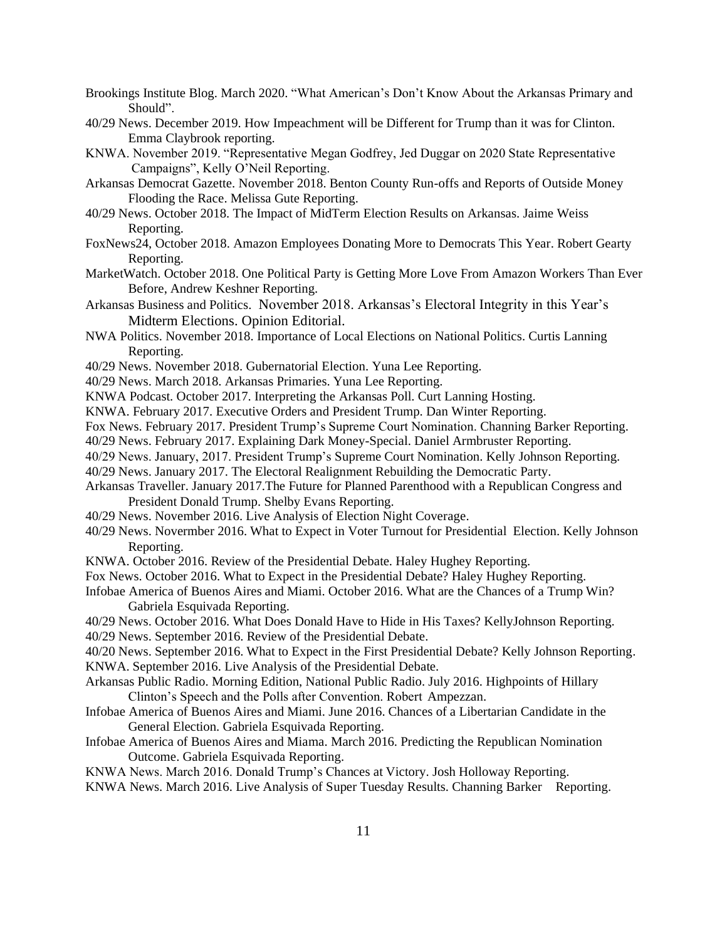- Brookings Institute Blog. March 2020. "What American's Don't Know About the Arkansas Primary and Should".
- 40/29 News. December 2019. How Impeachment will be Different for Trump than it was for Clinton. Emma Claybrook reporting.
- KNWA. November 2019. "Representative Megan Godfrey, Jed Duggar on 2020 State Representative Campaigns", Kelly O'Neil Reporting.
- Arkansas Democrat Gazette. November 2018. Benton County Run-offs and Reports of Outside Money Flooding the Race. Melissa Gute Reporting.
- 40/29 News. October 2018. The Impact of MidTerm Election Results on Arkansas. Jaime Weiss Reporting.
- FoxNews24, October 2018. Amazon Employees Donating More to Democrats This Year. Robert Gearty Reporting.
- MarketWatch. October 2018. One Political Party is Getting More Love From Amazon Workers Than Ever Before, Andrew Keshner Reporting.
- Arkansas Business and Politics. November 2018. Arkansas's Electoral Integrity in this Year's Midterm Elections. Opinion Editorial.
- NWA Politics. November 2018. Importance of Local Elections on National Politics. Curtis Lanning Reporting.
- 40/29 News. November 2018. Gubernatorial Election. Yuna Lee Reporting.
- 40/29 News. March 2018. Arkansas Primaries. Yuna Lee Reporting.
- KNWA Podcast. October 2017. Interpreting the Arkansas Poll. Curt Lanning Hosting.
- KNWA. February 2017. Executive Orders and President Trump. Dan Winter Reporting.
- Fox News. February 2017. President Trump's Supreme Court Nomination. Channing Barker Reporting.
- 40/29 News. February 2017. Explaining Dark Money-Special. Daniel Armbruster Reporting.
- 40/29 News. January, 2017. President Trump's Supreme Court Nomination. Kelly Johnson Reporting.
- 40/29 News. January 2017. The Electoral Realignment Rebuilding the Democratic Party.
- Arkansas Traveller. January 2017.The Future for Planned Parenthood with a Republican Congress and President Donald Trump. Shelby Evans Reporting.
- 40/29 News. November 2016. Live Analysis of Election Night Coverage.
- 40/29 News. Novermber 2016. What to Expect in Voter Turnout for Presidential Election. Kelly Johnson Reporting.
- KNWA. October 2016. Review of the Presidential Debate. Haley Hughey Reporting.
- Fox News. October 2016. What to Expect in the Presidential Debate? Haley Hughey Reporting.
- Infobae America of Buenos Aires and Miami. October 2016. What are the Chances of a Trump Win? Gabriela Esquivada Reporting.
- 40/29 News. October 2016. What Does Donald Have to Hide in His Taxes? KellyJohnson Reporting. 40/29 News. September 2016. Review of the Presidential Debate.
- 40/20 News. September 2016. What to Expect in the First Presidential Debate? Kelly Johnson Reporting. KNWA. September 2016. Live Analysis of the Presidential Debate.
- Arkansas Public Radio. Morning Edition, National Public Radio. July 2016. Highpoints of Hillary Clinton's Speech and the Polls after Convention. Robert Ampezzan.
- Infobae America of Buenos Aires and Miami. June 2016. Chances of a Libertarian Candidate in the General Election. Gabriela Esquivada Reporting.
- Infobae America of Buenos Aires and Miama. March 2016. Predicting the Republican Nomination Outcome. Gabriela Esquivada Reporting.
- KNWA News. March 2016. Donald Trump's Chances at Victory. Josh Holloway Reporting.
- KNWA News. March 2016. Live Analysis of Super Tuesday Results. Channing Barker Reporting.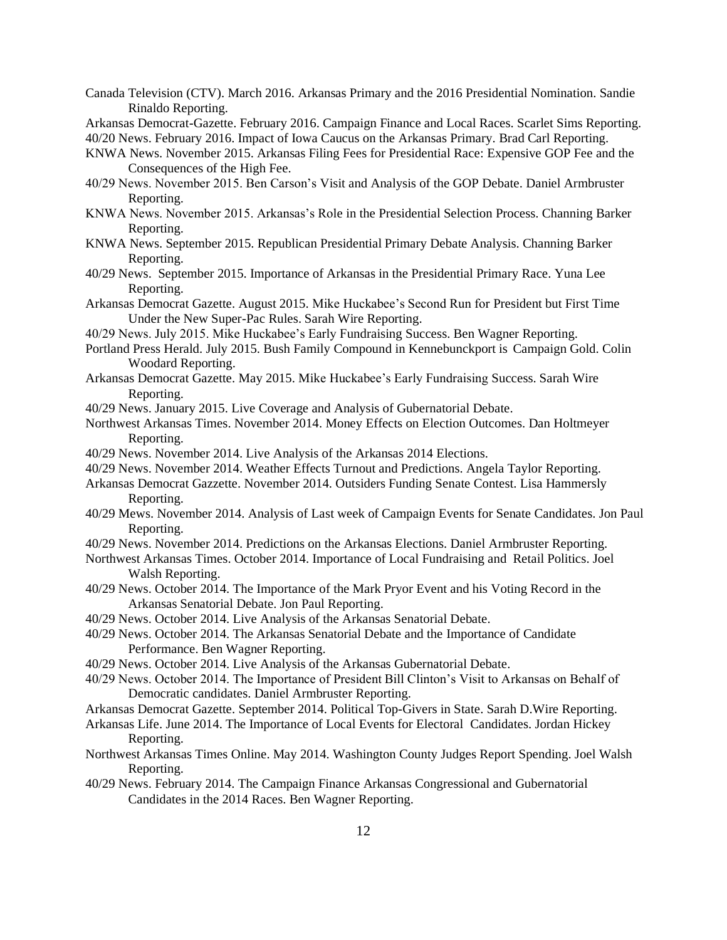- Canada Television (CTV). March 2016. Arkansas Primary and the 2016 Presidential Nomination. Sandie Rinaldo Reporting.
- Arkansas Democrat-Gazette. February 2016. Campaign Finance and Local Races. Scarlet Sims Reporting.

40/20 News. February 2016. Impact of Iowa Caucus on the Arkansas Primary. Brad Carl Reporting.

- KNWA News. November 2015. Arkansas Filing Fees for Presidential Race: Expensive GOP Fee and the Consequences of the High Fee.
- 40/29 News. November 2015. Ben Carson's Visit and Analysis of the GOP Debate. Daniel Armbruster Reporting.
- KNWA News. November 2015. Arkansas's Role in the Presidential Selection Process. Channing Barker Reporting.
- KNWA News. September 2015. Republican Presidential Primary Debate Analysis. Channing Barker Reporting.
- 40/29 News. September 2015. Importance of Arkansas in the Presidential Primary Race. Yuna Lee Reporting.
- Arkansas Democrat Gazette. August 2015. Mike Huckabee's Second Run for President but First Time Under the New Super-Pac Rules. Sarah Wire Reporting.
- 40/29 News. July 2015. Mike Huckabee's Early Fundraising Success. Ben Wagner Reporting.
- Portland Press Herald. July 2015. Bush Family Compound in Kennebunckport is Campaign Gold. Colin Woodard Reporting.
- Arkansas Democrat Gazette. May 2015. Mike Huckabee's Early Fundraising Success. Sarah Wire Reporting.
- 40/29 News. January 2015. Live Coverage and Analysis of Gubernatorial Debate.
- Northwest Arkansas Times. November 2014. Money Effects on Election Outcomes. Dan Holtmeyer Reporting.
- 40/29 News. November 2014. Live Analysis of the Arkansas 2014 Elections.
- 40/29 News. November 2014. Weather Effects Turnout and Predictions. Angela Taylor Reporting.
- Arkansas Democrat Gazzette. November 2014. Outsiders Funding Senate Contest. Lisa Hammersly Reporting.
- 40/29 Mews. November 2014. Analysis of Last week of Campaign Events for Senate Candidates. Jon Paul Reporting.
- 40/29 News. November 2014. Predictions on the Arkansas Elections. Daniel Armbruster Reporting.
- Northwest Arkansas Times. October 2014. Importance of Local Fundraising and Retail Politics. Joel Walsh Reporting.
- 40/29 News. October 2014. The Importance of the Mark Pryor Event and his Voting Record in the Arkansas Senatorial Debate. Jon Paul Reporting.
- 40/29 News. October 2014. Live Analysis of the Arkansas Senatorial Debate.
- 40/29 News. October 2014. The Arkansas Senatorial Debate and the Importance of Candidate Performance. Ben Wagner Reporting.
- 40/29 News. October 2014. Live Analysis of the Arkansas Gubernatorial Debate.
- 40/29 News. October 2014. The Importance of President Bill Clinton's Visit to Arkansas on Behalf of Democratic candidates. Daniel Armbruster Reporting.
- Arkansas Democrat Gazette. September 2014. Political Top-Givers in State. Sarah D.Wire Reporting.
- Arkansas Life. June 2014. The Importance of Local Events for Electoral Candidates. Jordan Hickey Reporting.
- Northwest Arkansas Times Online. May 2014. Washington County Judges Report Spending. Joel Walsh Reporting.
- 40/29 News. February 2014. The Campaign Finance Arkansas Congressional and Gubernatorial Candidates in the 2014 Races. Ben Wagner Reporting.